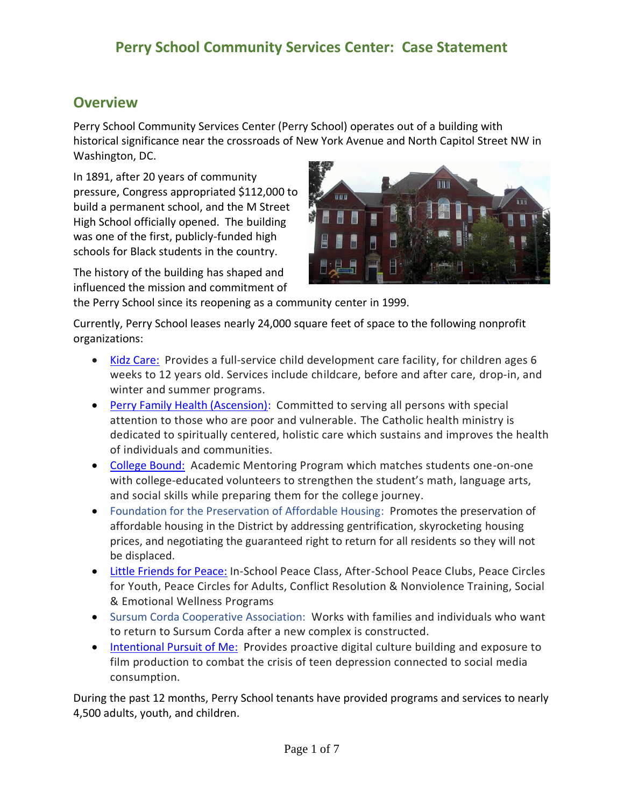#### **Overview**

Perry School Community Services Center (Perry School) operates out of a building with historical significance near the crossroads of New York Avenue and North Capitol Street NW in Washington, DC.

In 1891, after 20 years of community pressure, Congress appropriated \$112,000 to build a permanent school, and the M Street High School officially opened. The building was one of the first, publicly-funded high schools for Black students in the country.

The history of the building has shaped and influenced the mission and commitment of



the Perry School since its reopening as a community center in 1999.

Currently, Perry School leases nearly 24,000 square feet of space to the following nonprofit organizations:

- [Kidz Care:](https://www.kidzcareunlimited.com/index.html) Provides a full-service child development care facility, for children ages 6 weeks to 12 years old. Services include childcare, before and after care, drop-in, and winter and summer programs.
- [Perry Family Health \(Ascension\):](https://healthcare.ascension.org/Locations/District-of-Columbia/DCWAS/Washington-Providence-Health-Services-Perry-Family-Health-Center) Committed to serving all persons with special attention to those who are poor and vulnerable. The Catholic health ministry is dedicated to spiritually centered, holistic care which sustains and improves the health of individuals and communities.
- [College Bound:](https://www.collegebound.org/) Academic Mentoring Program which matches students one-on-one with college-educated volunteers to strengthen the student's math, language arts, and social skills while preparing them for the college journey.
- Foundation for the Preservation of Affordable Housing: Promotes the preservation of affordable housing in the District by addressing gentrification, skyrocketing housing prices, and negotiating the guaranteed right to return for all residents so they will not be displaced.
- [Little Friends for Peace:](http://www.lffp.org/) In-School Peace Class, After-School Peace Clubs, Peace Circles for Youth, Peace Circles for Adults, Conflict Resolution & Nonviolence Training, Social & Emotional Wellness Programs
- Sursum Corda Cooperative Association: Works with families and individuals who want to return to Sursum Corda after a new complex is constructed.
- [Intentional Pursuit of Me:](https://ipm360.org/) Provides proactive digital culture building and exposure to film production to combat the crisis of teen depression connected to social media consumption.

During the past 12 months, Perry School tenants have provided programs and services to nearly 4,500 adults, youth, and children.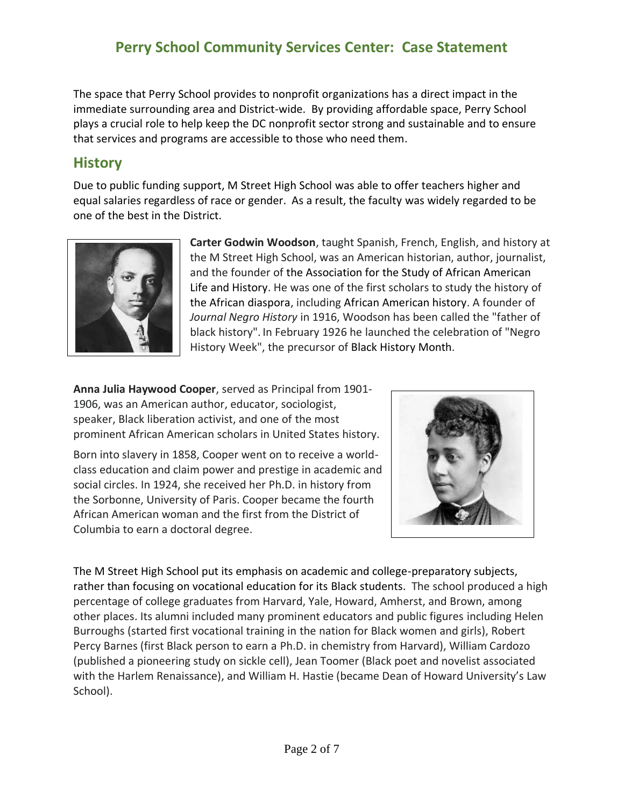The space that Perry School provides to nonprofit organizations has a direct impact in the immediate surrounding area and District-wide. By providing affordable space, Perry School plays a crucial role to help keep the DC nonprofit sector strong and sustainable and to ensure that services and programs are accessible to those who need them.

### **History**

Due to public funding support, M Street High School was able to offer teachers higher and equal salaries regardless of race or gender. As a result, the faculty was widely regarded to be one of the best in the District.



**Carter Godwin Woodson**, taught Spanish, French, English, and history at the M Street High School, was an American historian, author, journalist, and the founder of the Association for the Study of African American Life and History. He was one of the first scholars to study the history of the [African diaspora,](https://en.wikipedia.org/wiki/African_diaspora) including African American history. A founder of *Journal Negro History* in 1916, Woodson has been called the "father of black history". In February 1926 he launched the celebration of "Negro History Week", the precursor of Black History Month.

**Anna Julia Haywood Cooper**, served as Principal from 1901- 1906, was an American author, educator, sociologist, speaker, Black liberation activist, and one of the most prominent African American scholars in United States history.

Born into slavery in 1858, Cooper went on to receive a worldclass education and claim power and prestige in academic and social circles. In 1924, she received her Ph.D. in history from the Sorbonne, University of Paris. Cooper became the fourth African American woman and the first from the District of Columbia to earn a doctoral degree.



The M Street High School put its emphasis on academic and college-preparatory subjects, rather than focusing on vocational education for its Black students. The school produced a high percentage of college graduates from Harvard, Yale, Howard, Amherst, and Brown, among other places. Its alumni included many prominent educators and public figures including Helen Burroughs (started first vocational training in the nation for Black women and girls), Robert Percy Barnes (first Black person to earn a Ph.D. in chemistry from Harvard), William Cardozo (published a pioneering study on sickle cell), Jean Toomer (Black poet and novelist associated with the Harlem Renaissance), and William H. Hastie (became Dean of Howard University's Law School).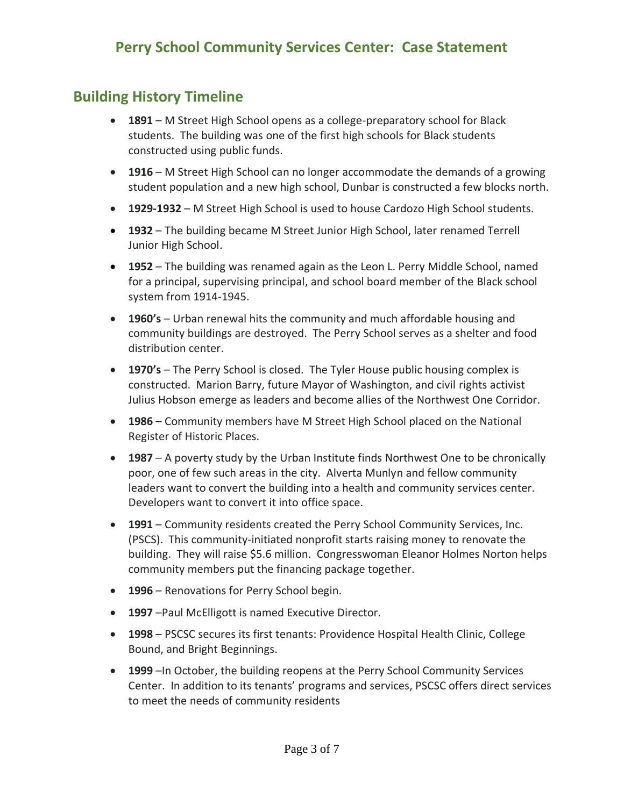### **Building History Timeline**

- **1891** M Street High School opens as a college-preparatory school for Black students. The building was one of the first high schools for Black students constructed using public funds.
- **1916** M Street High School can no longer accommodate the demands of a growing student population and a new high school, Dunbar is constructed a few blocks north.
- **1929-1932** M Street High School is used to house Cardozo High School students.
- **1932** The building became M Street Junior High School, later renamed Terrell Junior High School.
- **1952** The building was renamed again as the Leon L. Perry Middle School, named for a principal, supervising principal, and school board member of the Black school system from 1914-1945.
- **1960's** Urban renewal hits the community and much affordable housing and community buildings are destroyed. The Perry School serves as a shelter and food distribution center.
- **1970's** The Perry School is closed. The Tyler House public housing complex is constructed. Marion Barry, future Mayor of Washington, and civil rights activist Julius Hobson emerge as leaders and become allies of the Northwest One Corridor.
- **1986** Community members have M Street High School placed on the National Register of Historic Places.
- **1987** A poverty study by the Urban Institute finds Northwest One to be chronically poor, one of few such areas in the city. Alverta Munlyn and fellow community leaders want to convert the building into a health and community services center. Developers want to convert it into office space.
- **1991** Community residents created the Perry School Community Services, Inc. (PSCS). This community-initiated nonprofit starts raising money to renovate the building. They will raise \$5.6 million. Congresswoman Eleanor Holmes Norton helps community members put the financing package together.
- **1996** Renovations for Perry School begin.
- **1997** –Paul McElligott is named Executive Director.
- **1998** PSCSC secures its first tenants: Providence Hospital Health Clinic, College Bound, and Bright Beginnings.
- **1999** –In October, the building reopens at the Perry School Community Services Center. In addition to its tenants' programs and services, PSCSC offers direct services to meet the needs of community residents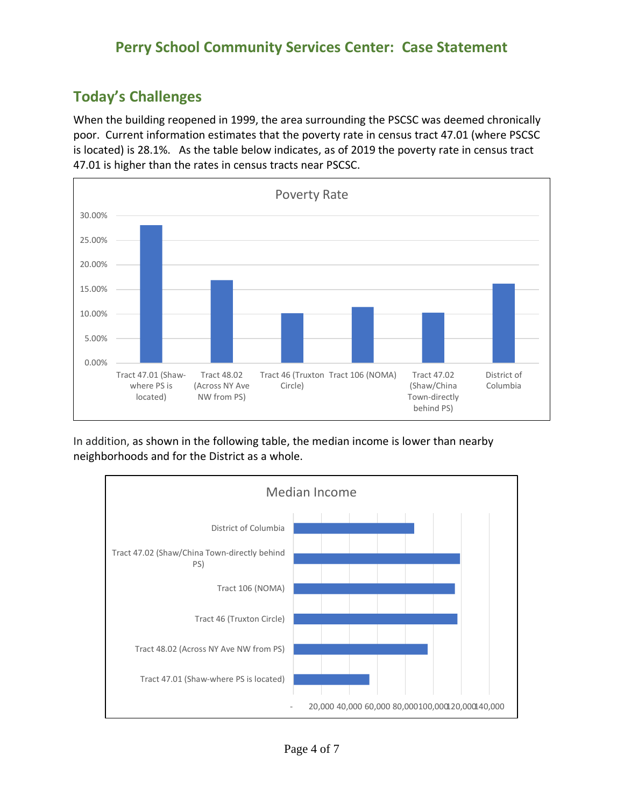## **Today's Challenges**

When the building reopened in 1999, the area surrounding the PSCSC was deemed chronically poor. Current information estimates that the poverty rate in census tract 47.01 (where PSCSC is located) is 28.1%. As the table below indicates, as of 2019 the poverty rate in census tract 47.01 is higher than the rates in census tracts near PSCSC.



In addition, as shown in the following table, the median income is lower than nearby neighborhoods and for the District as a whole.

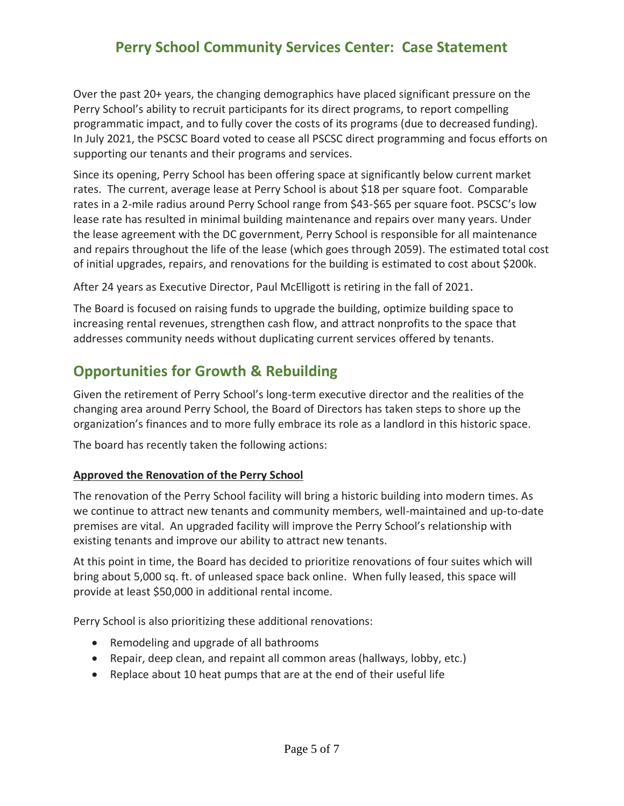Over the past 20+ years, the changing demographics have placed significant pressure on the Perry School's ability to recruit participants for its direct programs, to report compelling programmatic impact, and to fully cover the costs of its programs (due to decreased funding). In July 2021, the PSCSC Board voted to cease all PSCSC direct programming and focus efforts on supporting our tenants and their programs and services.

Since its opening, Perry School has been offering space at significantly below current market rates. The current, average lease at Perry School is about \$18 per square foot. Comparable rates in a 2-mile radius around Perry School range from \$43-\$65 per square foot. PSCSC's low lease rate has resulted in minimal building maintenance and repairs over many years. Under the lease agreement with the DC government, Perry School is responsible for all maintenance and repairs throughout the life of the lease (which goes through 2059). The estimated total cost of initial upgrades, repairs, and renovations for the building is estimated to cost about \$200k.

After 24 years as Executive Director, Paul McElligott is retiring in the fall of 2021.

The Board is focused on raising funds to upgrade the building, optimize building space to increasing rental revenues, strengthen cash flow, and attract nonprofits to the space that addresses community needs without duplicating current services offered by tenants.

## **Opportunities for Growth & Rebuilding**

Given the retirement of Perry School's long-term executive director and the realities of the changing area around Perry School, the Board of Directors has taken steps to shore up the organization's finances and to more fully embrace its role as a landlord in this historic space.

The board has recently taken the following actions:

#### **Approved the Renovation of the Perry School**

The renovation of the Perry School facility will bring a historic building into modern times. As we continue to attract new tenants and community members, well-maintained and up-to-date premises are vital. An upgraded facility will improve the Perry School's relationship with existing tenants and improve our ability to attract new tenants.

At this point in time, the Board has decided to prioritize renovations of four suites which will bring about 5,000 sq. ft. of unleased space back online. When fully leased, this space will provide at least \$50,000 in additional rental income.

Perry School is also prioritizing these additional renovations:

- Remodeling and upgrade of all bathrooms
- Repair, deep clean, and repaint all common areas (hallways, lobby, etc.)
- Replace about 10 heat pumps that are at the end of their useful life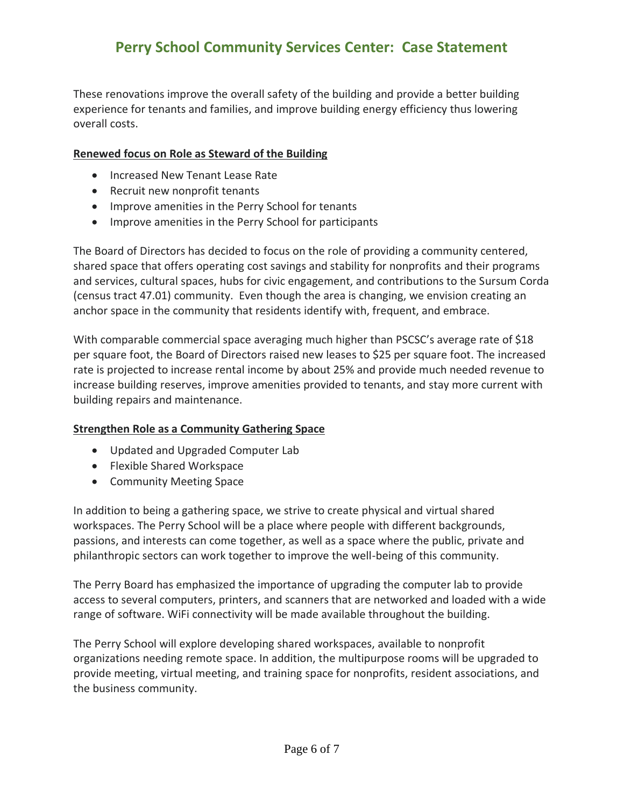These renovations improve the overall safety of the building and provide a better building experience for tenants and families, and improve building energy efficiency thus lowering overall costs.

#### **Renewed focus on Role as Steward of the Building**

- Increased New Tenant Lease Rate
- Recruit new nonprofit tenants
- Improve amenities in the Perry School for tenants
- Improve amenities in the Perry School for participants

The Board of Directors has decided to focus on the role of providing a community centered, shared space that offers operating cost savings and stability for nonprofits and their programs and services, cultural spaces, hubs for civic engagement, and contributions to the Sursum Corda (census tract 47.01) community. Even though the area is changing, we envision creating an anchor space in the community that residents identify with, frequent, and embrace.

With comparable commercial space averaging much higher than PSCSC's average rate of \$18 per square foot, the Board of Directors raised new leases to \$25 per square foot. The increased rate is projected to increase rental income by about 25% and provide much needed revenue to increase building reserves, improve amenities provided to tenants, and stay more current with building repairs and maintenance.

#### **Strengthen Role as a Community Gathering Space**

- Updated and Upgraded Computer Lab
- Flexible Shared Workspace
- Community Meeting Space

In addition to being a gathering space, we strive to create physical and virtual shared workspaces. The Perry School will be a place where people with different backgrounds, passions, and interests can come together, as well as a space where the public, private and philanthropic sectors can work together to improve the well-being of this community.

The Perry Board has emphasized the importance of upgrading the computer lab to provide access to several computers, printers, and scanners that are networked and loaded with a wide range of software. WiFi connectivity will be made available throughout the building.

The Perry School will explore developing shared workspaces, available to nonprofit organizations needing remote space. In addition, the multipurpose rooms will be upgraded to provide meeting, virtual meeting, and training space for nonprofits, resident associations, and the business community.